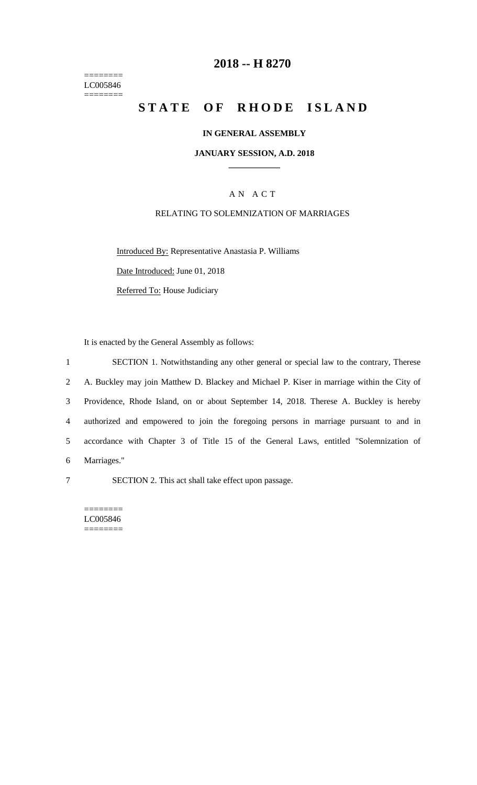======== LC005846  $=$ 

## **2018 -- H 8270**

# **STATE OF RHODE ISLAND**

#### **IN GENERAL ASSEMBLY**

#### **JANUARY SESSION, A.D. 2018 \_\_\_\_\_\_\_\_\_\_\_\_**

## A N A C T

## RELATING TO SOLEMNIZATION OF MARRIAGES

Introduced By: Representative Anastasia P. Williams

Date Introduced: June 01, 2018

Referred To: House Judiciary

It is enacted by the General Assembly as follows:

 SECTION 1. Notwithstanding any other general or special law to the contrary, Therese A. Buckley may join Matthew D. Blackey and Michael P. Kiser in marriage within the City of Providence, Rhode Island, on or about September 14, 2018. Therese A. Buckley is hereby authorized and empowered to join the foregoing persons in marriage pursuant to and in accordance with Chapter 3 of Title 15 of the General Laws, entitled "Solemnization of Marriages."

7 SECTION 2. This act shall take effect upon passage.

======== LC005846 ========